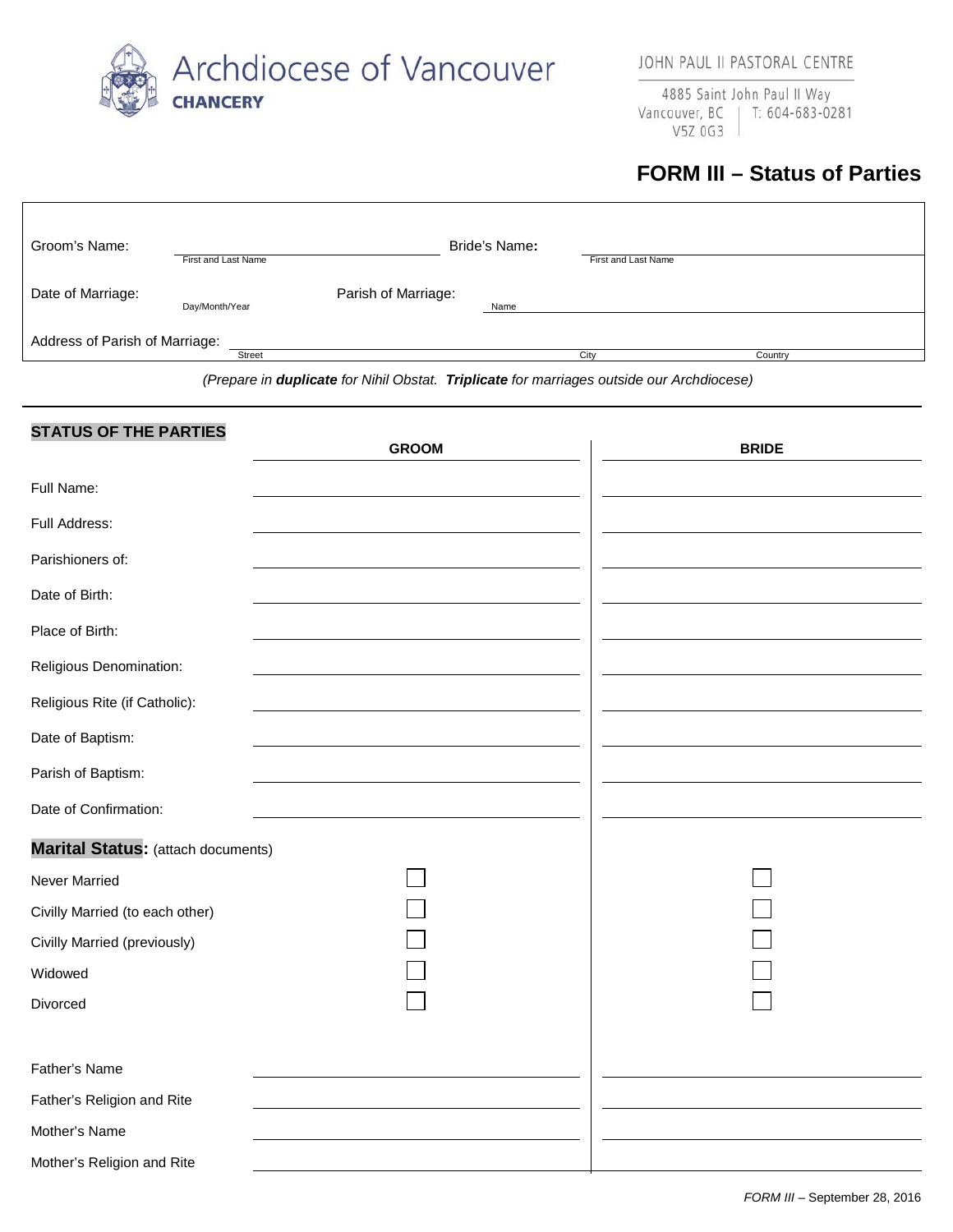

4885 Saint John Paul II Way Vancouver, BC | T: 604-683-0281 V5Z 0G3

## **FORM III – Status of Parties**

| Groom's Name:                  | Bride's Name:       |                     |      |                     |         |
|--------------------------------|---------------------|---------------------|------|---------------------|---------|
|                                | First and Last Name |                     |      | First and Last Name |         |
| Date of Marriage:              | Day/Month/Year      | Parish of Marriage: | Name |                     |         |
| Address of Parish of Marriage: |                     |                     |      |                     |         |
|                                | <b>Street</b>       |                     |      | City                | Country |

*(Prepare in duplicate for Nihil Obstat. Triplicate for marriages outside our Archdiocese)*

| <b>STATUS OF THE PARTIES</b>       | <b>GROOM</b> | <b>BRIDE</b> |
|------------------------------------|--------------|--------------|
|                                    |              |              |
| Full Name:                         |              |              |
| Full Address:                      |              |              |
| Parishioners of:                   |              |              |
| Date of Birth:                     |              |              |
| Place of Birth:                    |              |              |
| Religious Denomination:            |              |              |
| Religious Rite (if Catholic):      |              |              |
| Date of Baptism:                   |              |              |
| Parish of Baptism:                 |              |              |
| Date of Confirmation:              |              |              |
| Marital Status: (attach documents) |              |              |
| <b>Never Married</b>               |              |              |
| Civilly Married (to each other)    |              |              |
| Civilly Married (previously)       |              |              |
| Widowed                            |              |              |
| Divorced                           |              |              |
| Father's Name                      |              |              |
| Father's Religion and Rite         |              |              |
| Mother's Name                      |              |              |
| Mother's Religion and Rite         |              |              |